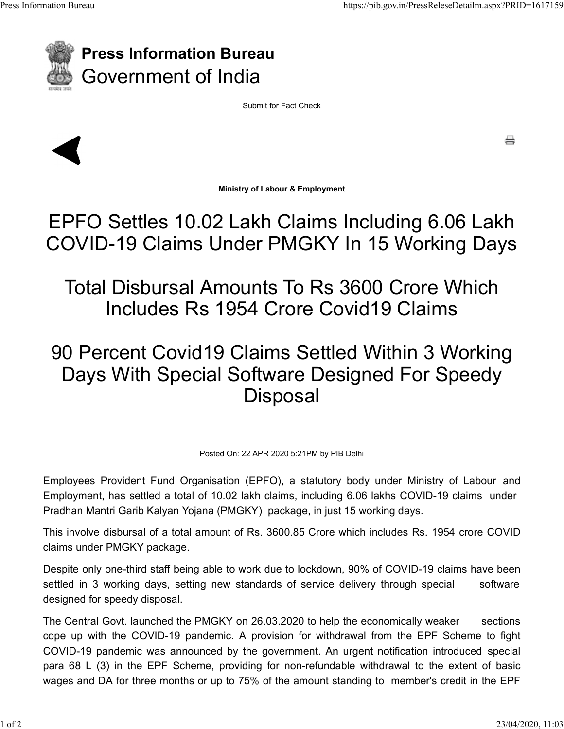

## Press Information Bureau Government of India Press Information Bureau https://pib.gov.in/PressReleseDetailm.aspx?PRID=1617159<br>
Press Information Bureau

Submit for Fact Check



e

Ministry of Labour & Employment

## EPFO Settles 10.02 Lakh Claims Including 6.06 Lakh COVID-19 Claims Under PMGKY In 15 Working Days

Total Disbursal Amounts To Rs 3600 Crore Which Includes Rs 1954 Crore Covid19 Claims

## 90 Percent Covid19 Claims Settled Within 3 Working Days With Special Software Designed For Speedy **Disposal** COVID-19 Claims Under PIVIGKY In 15 Working Days<br>
Total Disbursal Amounts To Rs 3600 Crore Which<br>
Includes Rs 1954 Crore Covid19 Claims<br>
90 Percent Covid19 Claims Settled Within 3 Working<br>
Days With Special Software Design Total Disbursal Amounts To Rs 3600 Crore Which<br>Includes Rs 1954 Crore Covid19 Claims<br>90 Percent Covid19 Claims Settled Within 3 Working<br>Days With Special Software Designed For Speedy<br>Disposal<br>Employees Provident Fund Organ

Posted On: 22 APR 2020 5:21PM by PIB Delhi

Employment, has settled a total of 10.02 lakh claims, including 6.06 lakhs COVID-19 claims under

This involve disbursal of a total amount of Rs. 3600.85 Crore which includes Rs. 1954 crore COVID claims under PMGKY package.

Despite only one-third staff being able to work due to lockdown, 90% of COVID-19 claims have been settled in 3 working days, setting new standards of service delivery through special software designed for speedy disposal.

The Central Govt. launched the PMGKY on 26.03.2020 to help the economically weaker sections cope up with the COVID-19 pandemic. A provision for withdrawal from the EPF Scheme to fight COVID-19 pandemic was announced by the government. An urgent notification introduced special para 68 L (3) in the EPF Scheme, providing for non-refundable withdrawal to the extent of basic wages and DA for three months or up to 75% of the amount standing to member's credit in the EPF